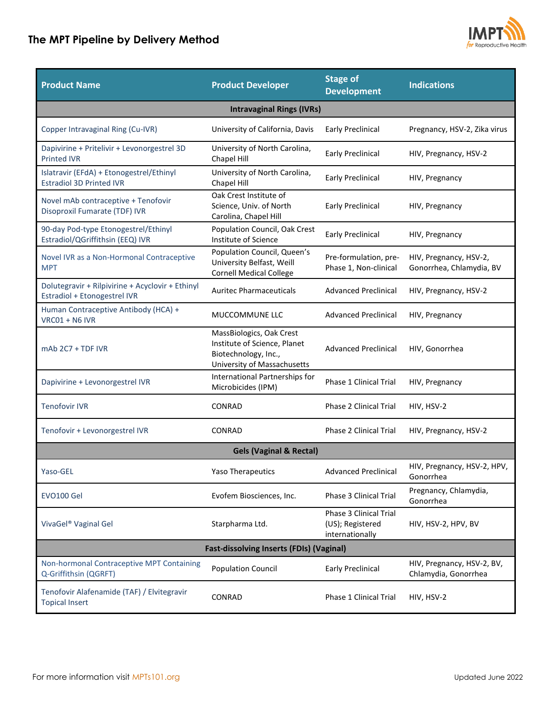## **The MPT Pipeline by Delivery Method**



L.

| <b>Product Name</b>                                                              | <b>Product Developer</b>                                                                                        | <b>Stage of</b><br><b>Development</b>                         | <b>Indications</b>                                 |  |
|----------------------------------------------------------------------------------|-----------------------------------------------------------------------------------------------------------------|---------------------------------------------------------------|----------------------------------------------------|--|
| <b>Intravaginal Rings (IVRs)</b>                                                 |                                                                                                                 |                                                               |                                                    |  |
| Copper Intravaginal Ring (Cu-IVR)                                                | University of California, Davis                                                                                 | <b>Early Preclinical</b>                                      | Pregnancy, HSV-2, Zika virus                       |  |
| Dapivirine + Pritelivir + Levonorgestrel 3D<br><b>Printed IVR</b>                | University of North Carolina,<br>Chapel Hill                                                                    | <b>Early Preclinical</b>                                      | HIV, Pregnancy, HSV-2                              |  |
| Islatravir (EFdA) + Etonogestrel/Ethinyl<br><b>Estradiol 3D Printed IVR</b>      | University of North Carolina,<br>Chapel Hill                                                                    | <b>Early Preclinical</b>                                      | HIV, Pregnancy                                     |  |
| Novel mAb contraceptive + Tenofovir<br>Disoproxil Fumarate (TDF) IVR             | Oak Crest Institute of<br>Science, Univ. of North<br>Carolina, Chapel Hill                                      | <b>Early Preclinical</b>                                      | HIV, Pregnancy                                     |  |
| 90-day Pod-type Etonogestrel/Ethinyl<br>Estradiol/QGriffithsin (EEQ) IVR         | Population Council, Oak Crest<br>Institute of Science                                                           | <b>Early Preclinical</b>                                      | HIV, Pregnancy                                     |  |
| Novel IVR as a Non-Hormonal Contraceptive<br><b>MPT</b>                          | Population Council, Queen's<br>University Belfast, Weill<br><b>Cornell Medical College</b>                      | Pre-formulation, pre-<br>Phase 1, Non-clinical                | HIV, Pregnancy, HSV-2,<br>Gonorrhea, Chlamydia, BV |  |
| Dolutegravir + Rilpivirine + Acyclovir + Ethinyl<br>Estradiol + Etonogestrel IVR | <b>Auritec Pharmaceuticals</b>                                                                                  | <b>Advanced Preclinical</b>                                   | HIV, Pregnancy, HSV-2                              |  |
| Human Contraceptive Antibody (HCA) +<br>VRC01 + N6 IVR                           | MUCCOMMUNE LLC                                                                                                  | <b>Advanced Preclinical</b>                                   | HIV, Pregnancy                                     |  |
| $mAb$ 2C7 + TDF IVR                                                              | MassBiologics, Oak Crest<br>Institute of Science, Planet<br>Biotechnology, Inc.,<br>University of Massachusetts | <b>Advanced Preclinical</b>                                   | HIV, Gonorrhea                                     |  |
| Dapivirine + Levonorgestrel IVR                                                  | International Partnerships for<br>Microbicides (IPM)                                                            | Phase 1 Clinical Trial                                        | HIV, Pregnancy                                     |  |
| <b>Tenofovir IVR</b>                                                             | CONRAD                                                                                                          | Phase 2 Clinical Trial                                        | HIV, HSV-2                                         |  |
| Tenofovir + Levonorgestrel IVR                                                   | CONRAD                                                                                                          | Phase 2 Clinical Trial                                        | HIV, Pregnancy, HSV-2                              |  |
| <b>Gels (Vaginal &amp; Rectal)</b>                                               |                                                                                                                 |                                                               |                                                    |  |
| Yaso-GEL                                                                         | Yaso Therapeutics                                                                                               | <b>Advanced Preclinical</b>                                   | HIV, Pregnancy, HSV-2, HPV,<br>Gonorrhea           |  |
| EVO100 Gel                                                                       | Evofem Biosciences, Inc.                                                                                        | Phase 3 Clinical Trial                                        | Pregnancy, Chlamydia,<br>Gonorrhea                 |  |
| VivaGel <sup>®</sup> Vaginal Gel                                                 | Starpharma Ltd.                                                                                                 | Phase 3 Clinical Trial<br>(US); Registered<br>internationally | HIV, HSV-2, HPV, BV                                |  |
| <b>Fast-dissolving Inserts (FDIs) (Vaginal)</b>                                  |                                                                                                                 |                                                               |                                                    |  |
| Non-hormonal Contraceptive MPT Containing<br>Q-Griffithsin (QGRFT)               | <b>Population Council</b>                                                                                       | <b>Early Preclinical</b>                                      | HIV, Pregnancy, HSV-2, BV,<br>Chlamydia, Gonorrhea |  |
| Tenofovir Alafenamide (TAF) / Elvitegravir<br><b>Topical Insert</b>              | CONRAD                                                                                                          | Phase 1 Clinical Trial                                        | HIV, HSV-2                                         |  |